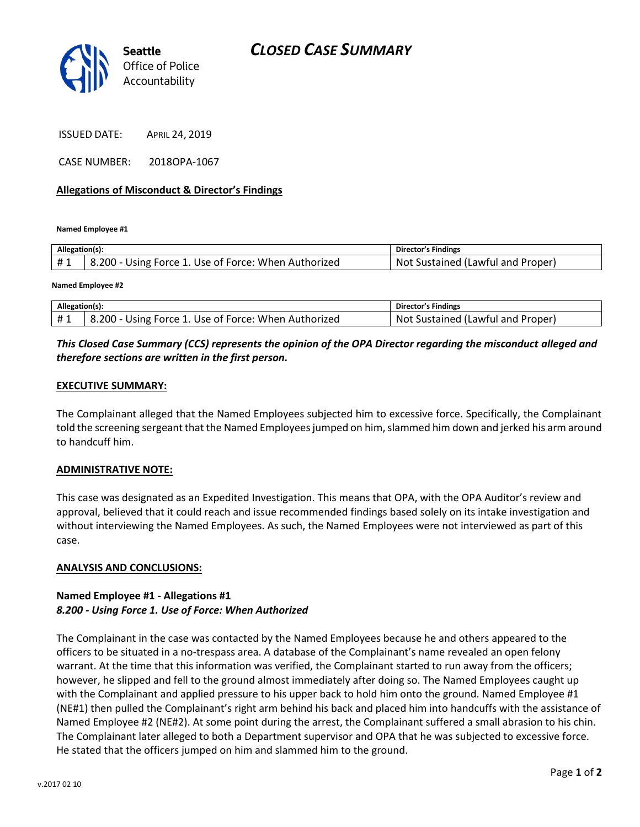

ISSUED DATE: APRIL 24, 2019

CASE NUMBER: 2018OPA-1067

### **Allegations of Misconduct & Director's Findings**

**Named Employee #1**

| Allegation(s): |                                                      | Director's Findings               |
|----------------|------------------------------------------------------|-----------------------------------|
| #1             | 8.200 - Using Force 1. Use of Force: When Authorized | Not Sustained (Lawful and Proper) |
|                |                                                      |                                   |

**Named Employee #2**

| Allegation(s): |                                                      | Director's Findings               |
|----------------|------------------------------------------------------|-----------------------------------|
| #1             | 8.200 - Using Force 1. Use of Force: When Authorized | Not Sustained (Lawful and Proper) |

# *This Closed Case Summary (CCS) represents the opinion of the OPA Director regarding the misconduct alleged and therefore sections are written in the first person.*

#### **EXECUTIVE SUMMARY:**

The Complainant alleged that the Named Employees subjected him to excessive force. Specifically, the Complainant told the screening sergeant that the Named Employees jumped on him, slammed him down and jerked his arm around to handcuff him.

#### **ADMINISTRATIVE NOTE:**

This case was designated as an Expedited Investigation. This means that OPA, with the OPA Auditor's review and approval, believed that it could reach and issue recommended findings based solely on its intake investigation and without interviewing the Named Employees. As such, the Named Employees were not interviewed as part of this case.

#### **ANALYSIS AND CONCLUSIONS:**

## **Named Employee #1 - Allegations #1** *8.200 - Using Force 1. Use of Force: When Authorized*

The Complainant in the case was contacted by the Named Employees because he and others appeared to the officers to be situated in a no-trespass area. A database of the Complainant's name revealed an open felony warrant. At the time that this information was verified, the Complainant started to run away from the officers; however, he slipped and fell to the ground almost immediately after doing so. The Named Employees caught up with the Complainant and applied pressure to his upper back to hold him onto the ground. Named Employee #1 (NE#1) then pulled the Complainant's right arm behind his back and placed him into handcuffs with the assistance of Named Employee #2 (NE#2). At some point during the arrest, the Complainant suffered a small abrasion to his chin. The Complainant later alleged to both a Department supervisor and OPA that he was subjected to excessive force. He stated that the officers jumped on him and slammed him to the ground.